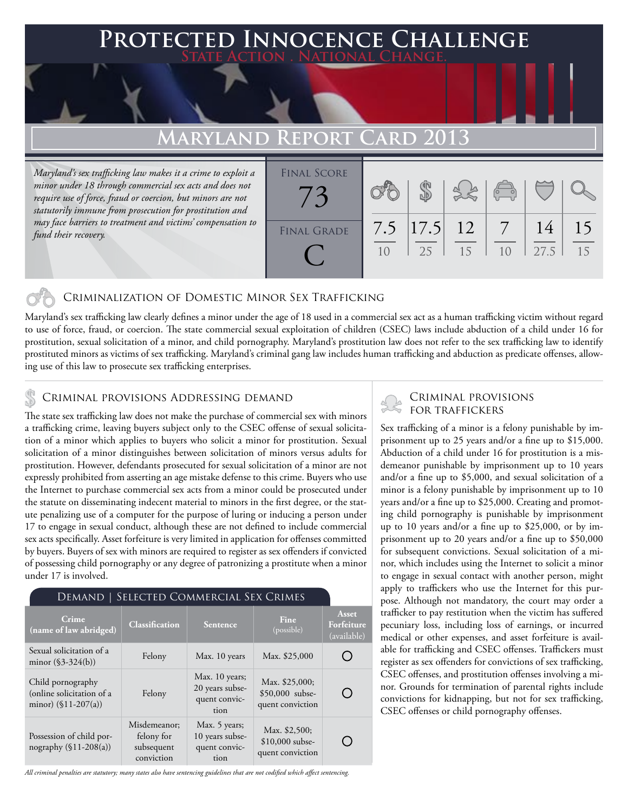### **FD INNOCENCE CHALLENGE State Action . National Change.**

## **MARYLAND REPORT**

*Maryland's sex trafficking law makes it a crime to exploit a minor under 18 through commercial sex acts and does not require use of force, fraud or coercion, but minors are not statutorily immune from prosecution for prostitution and may face barriers to treatment and victims' compensation to fund their recovery.*

| <b>FINAL SCORE</b> |                |             |    |                |      |    |
|--------------------|----------------|-------------|----|----------------|------|----|
|                    |                |             |    |                |      |    |
|                    |                |             |    | $\overline{C}$ |      |    |
|                    |                |             |    |                |      |    |
|                    | 7.5            | $ 17.5 $ 12 |    |                | 14   |    |
| <b>FINAL GRADE</b> |                |             |    |                |      |    |
|                    | 1 <sub>0</sub> | 25          | 15 |                | 27.5 | 15 |
|                    |                |             |    |                |      |    |
|                    |                |             |    |                |      |    |

#### Criminalization of Domestic Minor Sex Trafficking

Maryland's sex trafficking law clearly defines a minor under the age of 18 used in a commercial sex act as a human trafficking victim without regard to use of force, fraud, or coercion. The state commercial sexual exploitation of children (CSEC) laws include abduction of a child under 16 for prostitution, sexual solicitation of a minor, and child pornography. Maryland's prostitution law does not refer to the sex trafficking law to identify prostituted minors as victims of sex trafficking. Maryland's criminal gang law includes human trafficking and abduction as predicate offenses, allowing use of this law to prosecute sex trafficking enterprises.

## CRIMINAL PROVISIONS ADDRESSING DEMAND<br>FOR TRAFFICKERS

The state sex trafficking law does not make the purchase of commercial sex with minors a trafficking crime, leaving buyers subject only to the CSEC offense of sexual solicitation of a minor which applies to buyers who solicit a minor for prostitution. Sexual solicitation of a minor distinguishes between solicitation of minors versus adults for prostitution. However, defendants prosecuted for sexual solicitation of a minor are not expressly prohibited from asserting an age mistake defense to this crime. Buyers who use the Internet to purchase commercial sex acts from a minor could be prosecuted under the statute on disseminating indecent material to minors in the first degree, or the statute penalizing use of a computer for the purpose of luring or inducing a person under 17 to engage in sexual conduct, although these are not defined to include commercial sex acts specifically. Asset forfeiture is very limited in application for offenses committed by buyers. Buyers of sex with minors are required to register as sex offenders if convicted of possessing child pornography or any degree of patronizing a prostitute when a minor under 17 is involved.

#### Demand | Selected Commercial Sex Crimes

| Crime<br>(name of law abridged)                                          | <b>Classification</b>                                  | <b>Sentence</b>                                            | Fine<br>(possible)                                    | Asset<br>Forfeiture<br>(available) |
|--------------------------------------------------------------------------|--------------------------------------------------------|------------------------------------------------------------|-------------------------------------------------------|------------------------------------|
| Sexual solicitation of a<br>minor $(\$3-324(b))$                         | Felony                                                 | Max. 10 years                                              | Max. \$25,000                                         |                                    |
| Child pornography<br>(online solicitation of a<br>minor) $(\$11-207(a))$ | Felony                                                 | Max. 10 years;<br>20 years subse-<br>quent convic-<br>tion | Max. \$25,000;<br>\$50,000 subse-<br>quent conviction |                                    |
| Possession of child por-<br>nography $(\$11-208(a))$                     | Misdemeanor;<br>felony for<br>subsequent<br>conviction | Max. 5 years;<br>10 years subse-<br>quent convic-<br>tion  | Max. \$2,500;<br>$$10,000$ subse-<br>quent conviction |                                    |

*All criminal penalties are statutory; many states also have sentencing guidelines that are not codified which affect sentencing.* 

# Criminal provisions

Sex trafficking of a minor is a felony punishable by imprisonment up to 25 years and/or a fine up to \$15,000. Abduction of a child under 16 for prostitution is a misdemeanor punishable by imprisonment up to 10 years and/or a fine up to \$5,000, and sexual solicitation of a minor is a felony punishable by imprisonment up to 10 years and/or a fine up to \$25,000. Creating and promoting child pornography is punishable by imprisonment up to 10 years and/or a fine up to \$25,000, or by imprisonment up to 20 years and/or a fine up to \$50,000 for subsequent convictions. Sexual solicitation of a minor, which includes using the Internet to solicit a minor to engage in sexual contact with another person, might apply to traffickers who use the Internet for this purpose. Although not mandatory, the court may order a trafficker to pay restitution when the victim has suffered pecuniary loss, including loss of earnings, or incurred medical or other expenses, and asset forfeiture is available for trafficking and CSEC offenses. Traffickers must register as sex offenders for convictions of sex trafficking, CSEC offenses, and prostitution offenses involving a minor. Grounds for termination of parental rights include convictions for kidnapping, but not for sex trafficking, CSEC offenses or child pornography offenses.